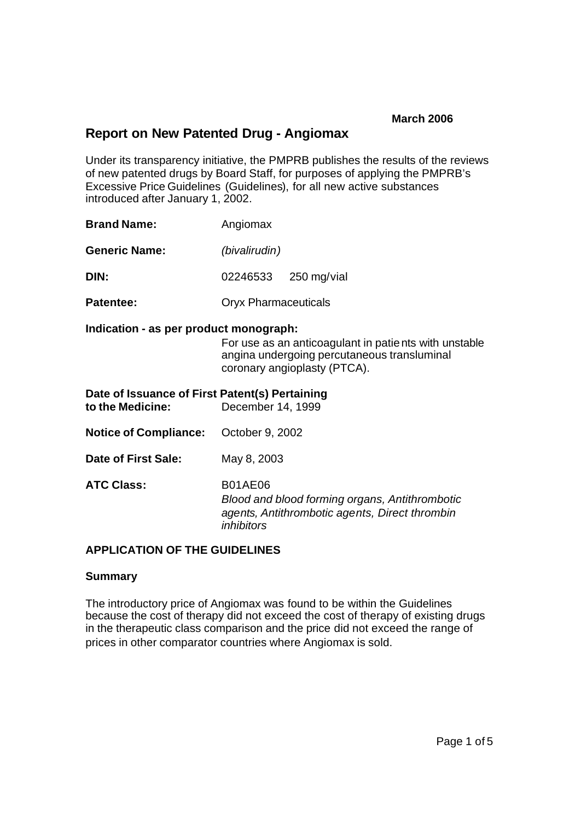# **Report on New Patented Drug - Angiomax**

Under its transparency initiative, the PMPRB publishes the results of the reviews of new patented drugs by Board Staff, for purposes of applying the PMPRB's Excessive Price Guidelines (Guidelines), for all new active substances introduced after January 1, 2002.

| <b>Brand Name:</b>   | Angiomax |                             |  |  |
|----------------------|----------|-----------------------------|--|--|
| <b>Generic Name:</b> |          | (bivalirudin)               |  |  |
| DIN:                 |          | 02246533 250 mg/vial        |  |  |
| <b>Patentee:</b>     |          | <b>Oryx Pharmaceuticals</b> |  |  |

#### **Indication - as per product monograph:**

For use as an anticoagulant in patients with unstable angina undergoing percutaneous transluminal coronary angioplasty (PTCA).

| Date of Issuance of First Patent(s) Pertaining<br>to the Medicine:<br>December 14, 1999 |                                                                                                                                         |  |  |  |
|-----------------------------------------------------------------------------------------|-----------------------------------------------------------------------------------------------------------------------------------------|--|--|--|
| <b>Notice of Compliance:</b> October 9, 2002                                            |                                                                                                                                         |  |  |  |
| Date of First Sale:                                                                     | May 8, 2003                                                                                                                             |  |  |  |
| <b>ATC Class:</b>                                                                       | <b>B01AE06</b><br>Blood and blood forming organs, Antithrombotic<br>agents, Antithrombotic agents, Direct thrombin<br><i>inhibitors</i> |  |  |  |

### **APPLICATION OF THE GUIDELINES**

#### **Summary**

The introductory price of Angiomax was found to be within the Guidelines because the cost of therapy did not exceed the cost of therapy of existing drugs in the therapeutic class comparison and the price did not exceed the range of prices in other comparator countries where Angiomax is sold.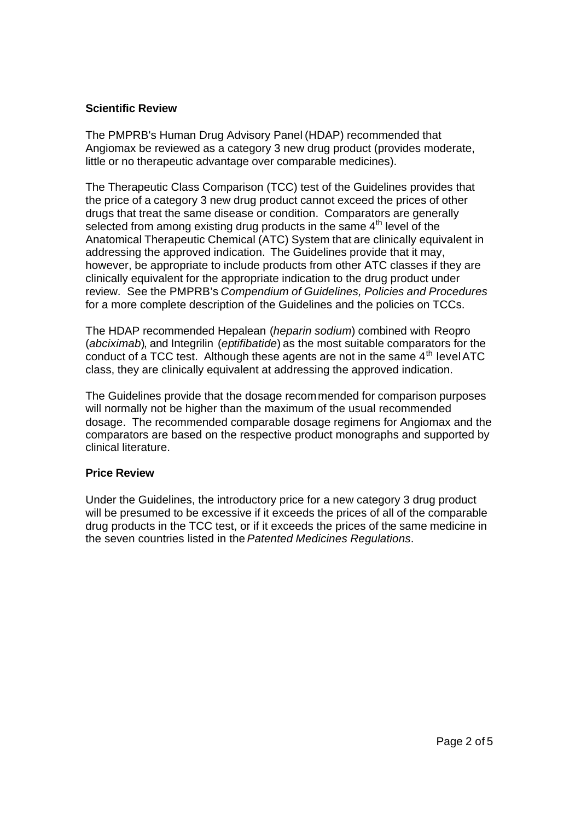### **Scientific Review**

The PMPRB's Human Drug Advisory Panel (HDAP) recommended that Angiomax be reviewed as a category 3 new drug product (provides moderate, little or no therapeutic advantage over comparable medicines).

The Therapeutic Class Comparison (TCC) test of the Guidelines provides that the price of a category 3 new drug product cannot exceed the prices of other drugs that treat the same disease or condition. Comparators are generally selected from among existing drug products in the same  $4<sup>th</sup>$  level of the Anatomical Therapeutic Chemical (ATC) System that are clinically equivalent in addressing the approved indication. The Guidelines provide that it may, however, be appropriate to include products from other ATC classes if they are clinically equivalent for the appropriate indication to the drug product under review. See the PMPRB's *Compendium of Guidelines, Policies and Procedures* for a more complete description of the Guidelines and the policies on TCCs.

The HDAP recommended Hepalean (*heparin sodium*) combined with Reopro (*abciximab*), and Integrilin (*eptifibatide*) as the most suitable comparators for the conduct of a TCC test. Although these agents are not in the same  $4<sup>th</sup>$  level ATC class, they are clinically equivalent at addressing the approved indication.

The Guidelines provide that the dosage recommended for comparison purposes will normally not be higher than the maximum of the usual recommended dosage. The recommended comparable dosage regimens for Angiomax and the comparators are based on the respective product monographs and supported by clinical literature.

## **Price Review**

Under the Guidelines, the introductory price for a new category 3 drug product will be presumed to be excessive if it exceeds the prices of all of the comparable drug products in the TCC test, or if it exceeds the prices of the same medicine in the seven countries listed in the *Patented Medicines Regulations*.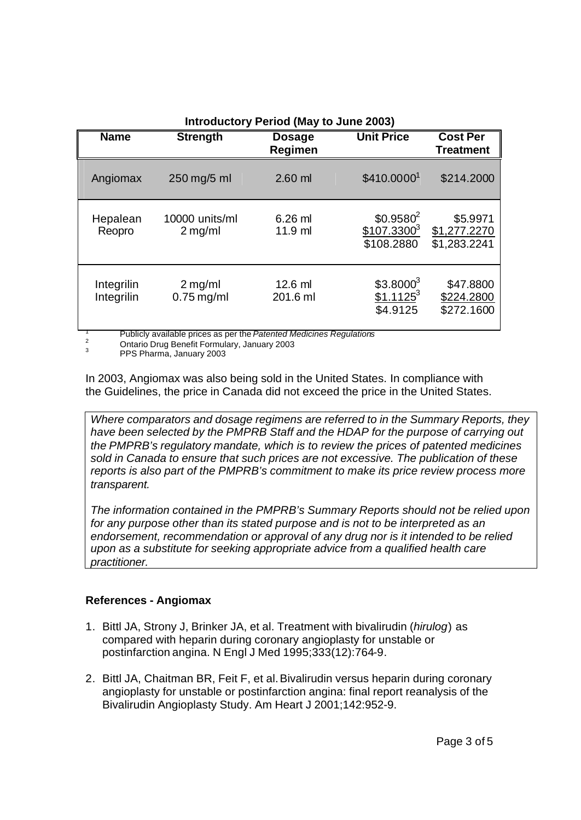| <b>Introductory Period (May to June 2003)</b> |                             |                          |                                                      |                                          |  |  |
|-----------------------------------------------|-----------------------------|--------------------------|------------------------------------------------------|------------------------------------------|--|--|
| <b>Name</b>                                   | <b>Strength</b>             | <b>Dosage</b><br>Regimen | <b>Unit Price</b>                                    | <b>Cost Per</b><br><b>Treatment</b>      |  |  |
| Angiomax                                      | 250 mg/5 ml                 | $2.60$ ml                | \$410.00001                                          | \$214.2000                               |  |  |
| Hepalean<br>Reopro                            | 10000 units/ml<br>$2$ mg/ml | $6.26$ ml<br>11.9 ml     | \$0.9580 <sup>2</sup><br>$$107.3300^3$<br>\$108.2880 | \$5.9971<br>\$1,277.2270<br>\$1,283.2241 |  |  |
| Integrilin<br>Integrilin                      | $2$ mg/ml<br>$0.75$ mg/ml   | $12.6$ ml<br>201.6 ml    | $$3.8000^3$<br>$$1.1125^3$<br>\$4.9125               | \$47.8800<br>\$224.2800<br>\$272.1600    |  |  |

<sup>1</sup> Publicly available prices as per the *Patented Medicines Regulations*

<sup>2</sup> Ontario Drug Benefit Formulary, January 2003

 $\overline{3}$ PPS Pharma, January 2003

In 2003, Angiomax was also being sold in the United States. In compliance with the Guidelines, the price in Canada did not exceed the price in the United States.

*Where comparators and dosage regimens are referred to in the Summary Reports, they have been selected by the PMPRB Staff and the HDAP for the purpose of carrying out the PMPRB's regulatory mandate, which is to review the prices of patented medicines sold in Canada to ensure that such prices are not excessive. The publication of these reports is also part of the PMPRB's commitment to make its price review process more transparent.*

*The information contained in the PMPRB's Summary Reports should not be relied upon for any purpose other than its stated purpose and is not to be interpreted as an endorsement, recommendation or approval of any drug nor is it intended to be relied upon as a substitute for seeking appropriate advice from a qualified health care practitioner.*

## **References - Angiomax**

- 1. Bittl JA, Strony J, Brinker JA, et al. Treatment with bivalirudin (*hirulog*) as compared with heparin during coronary angioplasty for unstable or postinfarction angina. N Engl J Med 1995;333(12):764-9.
- 2. Bittl JA, Chaitman BR, Feit F, et al. Bivalirudin versus heparin during coronary angioplasty for unstable or postinfarction angina: final report reanalysis of the Bivalirudin Angioplasty Study. Am Heart J 2001;142:952-9.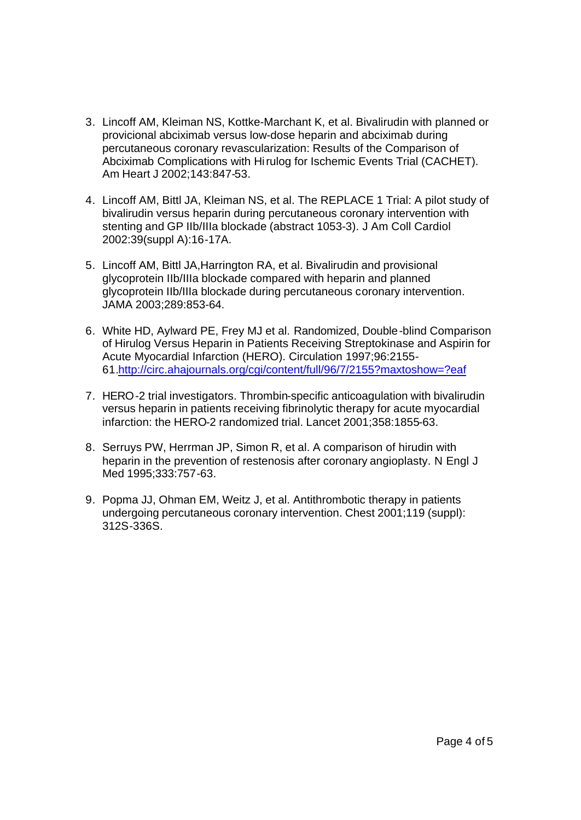- 3. Lincoff AM, Kleiman NS, Kottke-Marchant K, et al. Bivalirudin with planned or provicional abciximab versus low-dose heparin and abciximab during percutaneous coronary revascularization: Results of the Comparison of Abciximab Complications with Hirulog for Ischemic Events Trial (CACHET). Am Heart J 2002;143:847-53.
- 4. Lincoff AM, Bittl JA, Kleiman NS, et al. The REPLACE 1 Trial: A pilot study of bivalirudin versus heparin during percutaneous coronary intervention with stenting and GP IIb/IIIa blockade (abstract 1053-3). J Am Coll Cardiol 2002:39(suppl A):16-17A.
- 5. Lincoff AM, Bittl JA,Harrington RA, et al. Bivalirudin and provisional glycoprotein IIb/IIIa blockade compared with heparin and planned glycoprotein IIb/IIIa blockade during percutaneous coronary intervention. JAMA 2003;289:853-64.
- 6. White HD, Aylward PE, Frey MJ et al. Randomized, Double-blind Comparison of Hirulog Versus Heparin in Patients Receiving Streptokinase and Aspirin for Acute Myocardial Infarction (HERO). Circulation 1997;96:2155- 61.http://circ.ahajournals.org/cgi/content/full/96/7/2155?maxtoshow=?eaf
- 7. HERO-2 trial investigators. Thrombin-specific anticoagulation with bivalirudin versus heparin in patients receiving fibrinolytic therapy for acute myocardial infarction: the HERO-2 randomized trial. Lancet 2001;358:1855-63.
- 8. Serruys PW, Herrman JP, Simon R, et al. A comparison of hirudin with heparin in the prevention of restenosis after coronary angioplasty. N Engl J Med 1995;333:757-63.
- 9. Popma JJ, Ohman EM, Weitz J, et al. Antithrombotic therapy in patients undergoing percutaneous coronary intervention. Chest 2001;119 (suppl): 312S-336S.